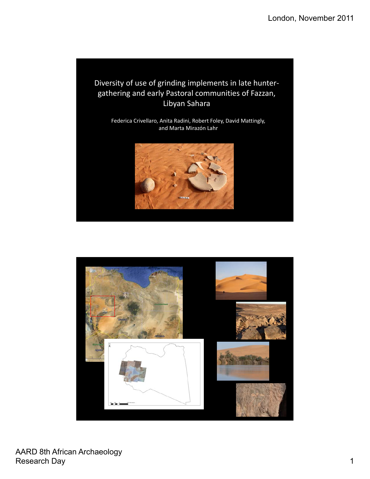# Diversity of use of grinding implements in late hunter‐ gathering and early Pastoral communities of Fazzan, Libyan Sahara

Federica Crivellaro, Anita Radini, Robert Foley, David Mattingly, and Marta Mirazón Lahr



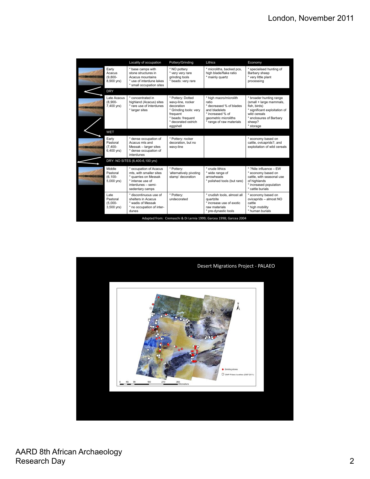|                                                                    |                                                | Locality of occupation                                                                                                               | Pottery/Grinding                                                                                                                                   | Lithics                                                                                                                                             | Economy                                                                                                                                                               |
|--------------------------------------------------------------------|------------------------------------------------|--------------------------------------------------------------------------------------------------------------------------------------|----------------------------------------------------------------------------------------------------------------------------------------------------|-----------------------------------------------------------------------------------------------------------------------------------------------------|-----------------------------------------------------------------------------------------------------------------------------------------------------------------------|
|                                                                    | Early<br>Acacus<br>$(9.800 -$<br>8,900 yrs)    | * base camps with<br>stone structures in<br>Acacus mountains<br>use of interdune lakes<br>small occupation sites                     | * NO pottery<br>* very very rare<br>grinding tools<br>* beads: very rare                                                                           | * microliths, backed pcs,<br>high blade/flake ratio<br>* mainly quartz                                                                              | * specialised hunting of<br>Barbary sheep<br>* very little plant<br>processing                                                                                        |
|                                                                    | <b>DRY</b>                                     |                                                                                                                                      |                                                                                                                                                    |                                                                                                                                                     |                                                                                                                                                                       |
|                                                                    | Late Acacus<br>$(8.900 -$<br>7,400 yrs)        | * concentrated in<br>highland (Acacus) sites<br>* rare use of interdunes<br>* larger sites                                           | * Pottery: Dotted<br>wavy-line, rocker<br>decoration<br>* Grinding tools: very<br>frequent<br>* beads: frequent<br>* decorated ostrich<br>eggshell | * high macro/microlith<br>ratio<br>* decreased % of blades<br>and bladelets<br>* increased % of<br>geometric microliths<br>* range of raw materials | * broader hunting range<br>(small + large mammals,<br>fish, birds)<br>* significant exploitation of<br>wild cereals<br>* enclosures of Barbary<br>sheep?<br>* storage |
|                                                                    | <b>WET</b>                                     |                                                                                                                                      |                                                                                                                                                    |                                                                                                                                                     |                                                                                                                                                                       |
|                                                                    | Early<br>Pastoral<br>$(7.400 -$<br>6,400 yrs)  | * dense occupation of<br>Acacus mts and<br>Messak - larger sites<br>* dense occupation of<br>interdunes                              | * Pottery: rocker<br>decoration, but no<br>wavy-line                                                                                               |                                                                                                                                                     | * economy based on<br>cattle, ovicaprids?, and<br>exploitation of wild cereals                                                                                        |
|                                                                    | DRY: NO SITES (6,400-6,100 yrs)                |                                                                                                                                      |                                                                                                                                                    |                                                                                                                                                     |                                                                                                                                                                       |
|                                                                    | Middle<br>Pastoral<br>$(6.100 -$<br>5,000 yrs) | occupation of Acacus<br>mts, with smaller sites<br>* quarries on Messak<br>* intense use of<br>interdunes - semi-<br>sedentary camps | * Potterv:<br>'alternatively pivoting<br>stamp' decoration                                                                                         | * crude lithics<br>* wide range of<br>arrowheads<br>* polished tools (but rare)                                                                     | * ?Nile influence - EW<br>* economy based on<br>cattle, with seasonal use<br>of highlands<br>* increased population<br>* cattle burials                               |
|                                                                    | I ate<br>Pastoral<br>$(5,000 -$<br>3,500 yrs)  | discontinuous use of<br>shelters in Acacus<br>* wadis of Messak<br>* no occupation of inter-<br>dunes                                | * Pottery:<br>undecorated                                                                                                                          | * crudish tools, almost all<br>quartzite<br>* increase use of exotic<br>raw materials<br>pre-dynastic tools                                         | * economy based on<br>ovicaprids - almost NO<br>cattle<br>* high mobility<br>* human burials                                                                          |
| Adapted from: Cremaschi & Di Lernia 1999; Garcea 1998; Garcea 2004 |                                                |                                                                                                                                      |                                                                                                                                                    |                                                                                                                                                     |                                                                                                                                                                       |

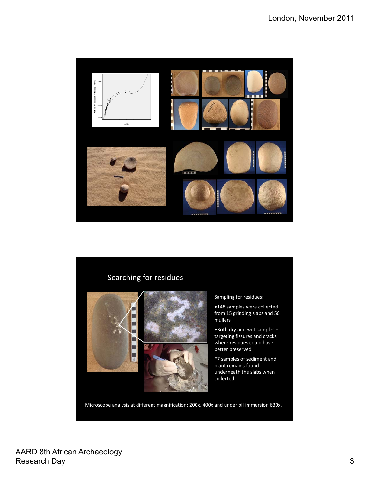

# Searching for residues



#### Sampling for residues:

•148 samples were collected from 15 grinding slabs and 56 mullers

•Both dry and wet samples – targeting fissures and cracks where residues could have better preserved

\*7 samples of sediment and plant remains found underneath the slabs when collected

Microscope analysis at different magnification: 200x, 400x and under oil immersion 630x.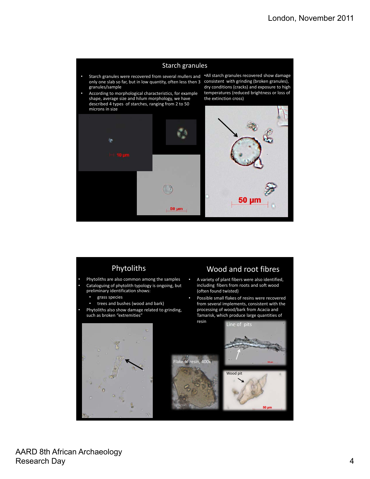### Starch granules

- Starch granules were recovered from several mullers and ·All starch granules recovered show damage only one slab so far, but in low quantity, often less then 3 granules/sample
- According to morphological characteristics, for example shape, average size and hilum morphology, we have described 4 types of starches, ranging from 2 to 50 microns in size

consistent with grinding (broken granules), dry conditions (cracks) and exposure to high temperatures (reduced brightness or loss of the extinction cross)



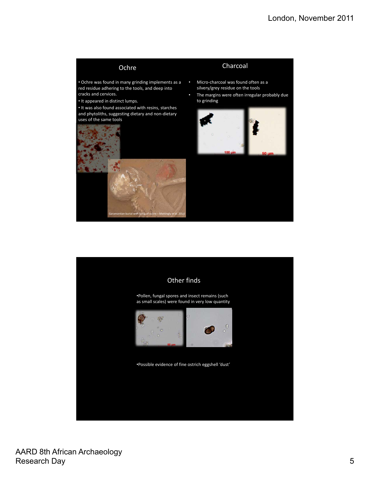### Ochre

## Charcoal

- Ochre was found in many grinding implements as a red residue adhering to the tools, and deep into cracks and cervices.
- It appeared in distinct lumps.

• It was also found associated with resins, starches and phytoliths, suggesting dietary and non‐dietary uses of the same tools



- Micro-charcoal was found often as a silvery/grey residue on the tools
- The margins were often irregular probably due to grinding